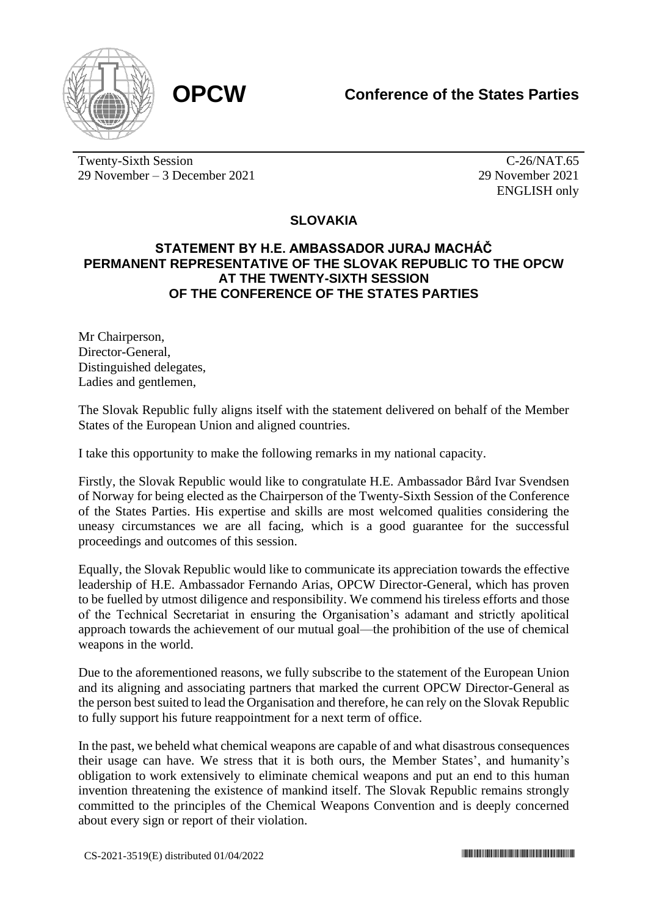

Twenty-Sixth Session 29 November – 3 December 2021

C-26/NAT.65 29 November 2021 ENGLISH only

## **SLOVAKIA**

## **STATEMENT BY H.E. AMBASSADOR JURAJ MACHÁČ PERMANENT REPRESENTATIVE OF THE SLOVAK REPUBLIC TO THE OPCW AT THE TWENTY-SIXTH SESSION OF THE CONFERENCE OF THE STATES PARTIES**

Mr Chairperson, Director-General, Distinguished delegates, Ladies and gentlemen,

The Slovak Republic fully aligns itself with the statement delivered on behalf of the Member States of the European Union and aligned countries.

I take this opportunity to make the following remarks in my national capacity.

Firstly, the Slovak Republic would like to congratulate H.E. Ambassador Bård Ivar Svendsen of Norway for being elected as the Chairperson of the Twenty-Sixth Session of the Conference of the States Parties. His expertise and skills are most welcomed qualities considering the uneasy circumstances we are all facing, which is a good guarantee for the successful proceedings and outcomes of this session.

Equally, the Slovak Republic would like to communicate its appreciation towards the effective leadership of H.E. Ambassador Fernando Arias, OPCW Director-General, which has proven to be fuelled by utmost diligence and responsibility. We commend his tireless efforts and those of the Technical Secretariat in ensuring the Organisation's adamant and strictly apolitical approach towards the achievement of our mutual goal—the prohibition of the use of chemical weapons in the world.

Due to the aforementioned reasons, we fully subscribe to the statement of the European Union and its aligning and associating partners that marked the current OPCW Director-General as the person best suited to lead the Organisation and therefore, he can rely on the Slovak Republic to fully support his future reappointment for a next term of office.

In the past, we beheld what chemical weapons are capable of and what disastrous consequences their usage can have. We stress that it is both ours, the Member States', and humanity's obligation to work extensively to eliminate chemical weapons and put an end to this human invention threatening the existence of mankind itself. The Slovak Republic remains strongly committed to the principles of the Chemical Weapons Convention and is deeply concerned about every sign or report of their violation.